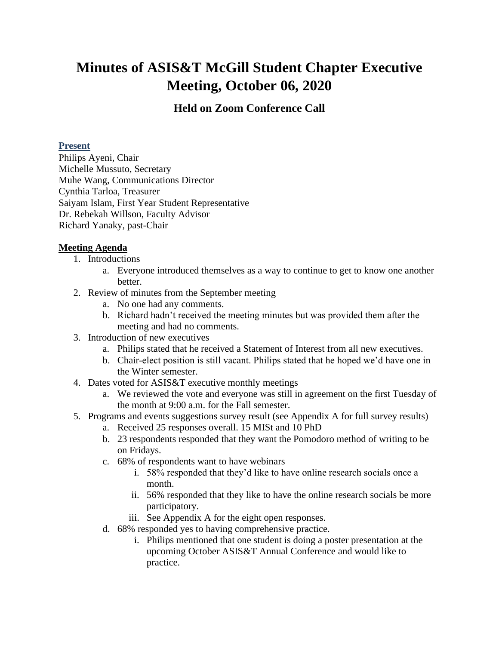## **Minutes of ASIS&T McGill Student Chapter Executive Meeting, October 06, 2020**

## **Held on Zoom Conference Call**

## **Present**

Philips Ayeni, Chair Michelle Mussuto, Secretary Muhe Wang, Communications Director Cynthia Tarloa, Treasurer Saiyam Islam, First Year Student Representative Dr. Rebekah Willson, Faculty Advisor Richard Yanaky, past-Chair

## **Meeting Agenda**

- 1. Introductions
	- a. Everyone introduced themselves as a way to continue to get to know one another better.
- 2. Review of minutes from the September meeting
	- a. No one had any comments.
	- b. Richard hadn't received the meeting minutes but was provided them after the meeting and had no comments.
- 3. Introduction of new executives
	- a. Philips stated that he received a Statement of Interest from all new executives.
	- b. Chair-elect position is still vacant. Philips stated that he hoped we'd have one in the Winter semester.
- 4. Dates voted for ASIS&T executive monthly meetings
	- a. We reviewed the vote and everyone was still in agreement on the first Tuesday of the month at 9:00 a.m. for the Fall semester.
- 5. Programs and events suggestions survey result (see Appendix A for full survey results)
	- a. Received 25 responses overall. 15 MISt and 10 PhD
	- b. 23 respondents responded that they want the Pomodoro method of writing to be on Fridays.
	- c. 68% of respondents want to have webinars
		- i. 58% responded that they'd like to have online research socials once a month.
		- ii. 56% responded that they like to have the online research socials be more participatory.
		- iii. See Appendix A for the eight open responses.
	- d. 68% responded yes to having comprehensive practice.
		- i. Philips mentioned that one student is doing a poster presentation at the upcoming October ASIS&T Annual Conference and would like to practice.